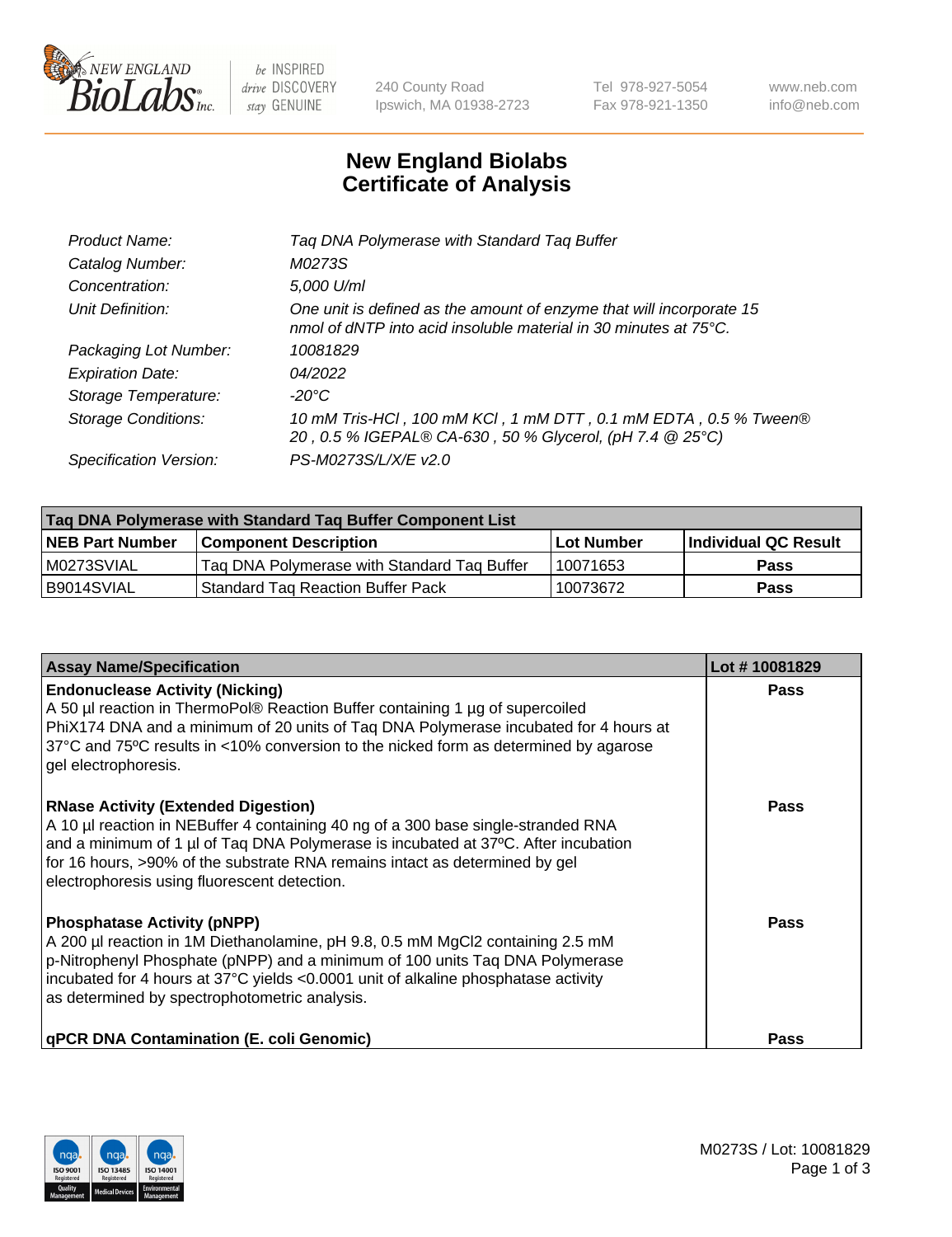

be INSPIRED drive DISCOVERY stay GENUINE

240 County Road Ipswich, MA 01938-2723 Tel 978-927-5054 Fax 978-921-1350 www.neb.com info@neb.com

## **New England Biolabs Certificate of Analysis**

| Tag DNA Polymerase with Standard Tag Buffer                                                                                                        |
|----------------------------------------------------------------------------------------------------------------------------------------------------|
| M0273S                                                                                                                                             |
| 5,000 U/ml                                                                                                                                         |
| One unit is defined as the amount of enzyme that will incorporate 15<br>nmol of dNTP into acid insoluble material in 30 minutes at $75^{\circ}$ C. |
| 10081829                                                                                                                                           |
| 04/2022                                                                                                                                            |
| $-20^{\circ}$ C                                                                                                                                    |
| 10 mM Tris-HCl, 100 mM KCl, 1 mM DTT, 0.1 mM EDTA, 0.5 % Tween®<br>20, 0.5 % IGEPAL® CA-630, 50 % Glycerol, (pH 7.4 @ 25°C)                        |
| PS-M0273S/L/X/E v2.0                                                                                                                               |
|                                                                                                                                                    |

| Tag DNA Polymerase with Standard Tag Buffer Component List |                                             |                   |                      |  |  |
|------------------------------------------------------------|---------------------------------------------|-------------------|----------------------|--|--|
| <b>NEB Part Number</b>                                     | Component Description_                      | <b>Lot Number</b> | Individual QC Result |  |  |
| M0273SVIAL                                                 | Tag DNA Polymerase with Standard Tag Buffer | 10071653          | Pass                 |  |  |
| B9014SVIAL                                                 | <b>Standard Tag Reaction Buffer Pack</b>    | 10073672          | <b>Pass</b>          |  |  |

| <b>Assay Name/Specification</b>                                                                                                                                                                                                                                                                                                                      | Lot #10081829 |
|------------------------------------------------------------------------------------------------------------------------------------------------------------------------------------------------------------------------------------------------------------------------------------------------------------------------------------------------------|---------------|
| <b>Endonuclease Activity (Nicking)</b><br>A 50 µl reaction in ThermoPol® Reaction Buffer containing 1 µg of supercoiled<br>PhiX174 DNA and a minimum of 20 units of Tag DNA Polymerase incubated for 4 hours at<br>37°C and 75°C results in <10% conversion to the nicked form as determined by agarose<br>gel electrophoresis.                      | Pass          |
| <b>RNase Activity (Extended Digestion)</b><br>A 10 µl reaction in NEBuffer 4 containing 40 ng of a 300 base single-stranded RNA<br>and a minimum of 1 µl of Taq DNA Polymerase is incubated at 37°C. After incubation<br>for 16 hours, >90% of the substrate RNA remains intact as determined by gel<br>electrophoresis using fluorescent detection. | Pass          |
| <b>Phosphatase Activity (pNPP)</b><br>A 200 µl reaction in 1M Diethanolamine, pH 9.8, 0.5 mM MgCl2 containing 2.5 mM<br>p-Nitrophenyl Phosphate (pNPP) and a minimum of 100 units Taq DNA Polymerase<br>incubated for 4 hours at 37°C yields <0.0001 unit of alkaline phosphatase activity<br>as determined by spectrophotometric analysis.          | Pass          |
| <b>qPCR DNA Contamination (E. coli Genomic)</b>                                                                                                                                                                                                                                                                                                      | Pass          |

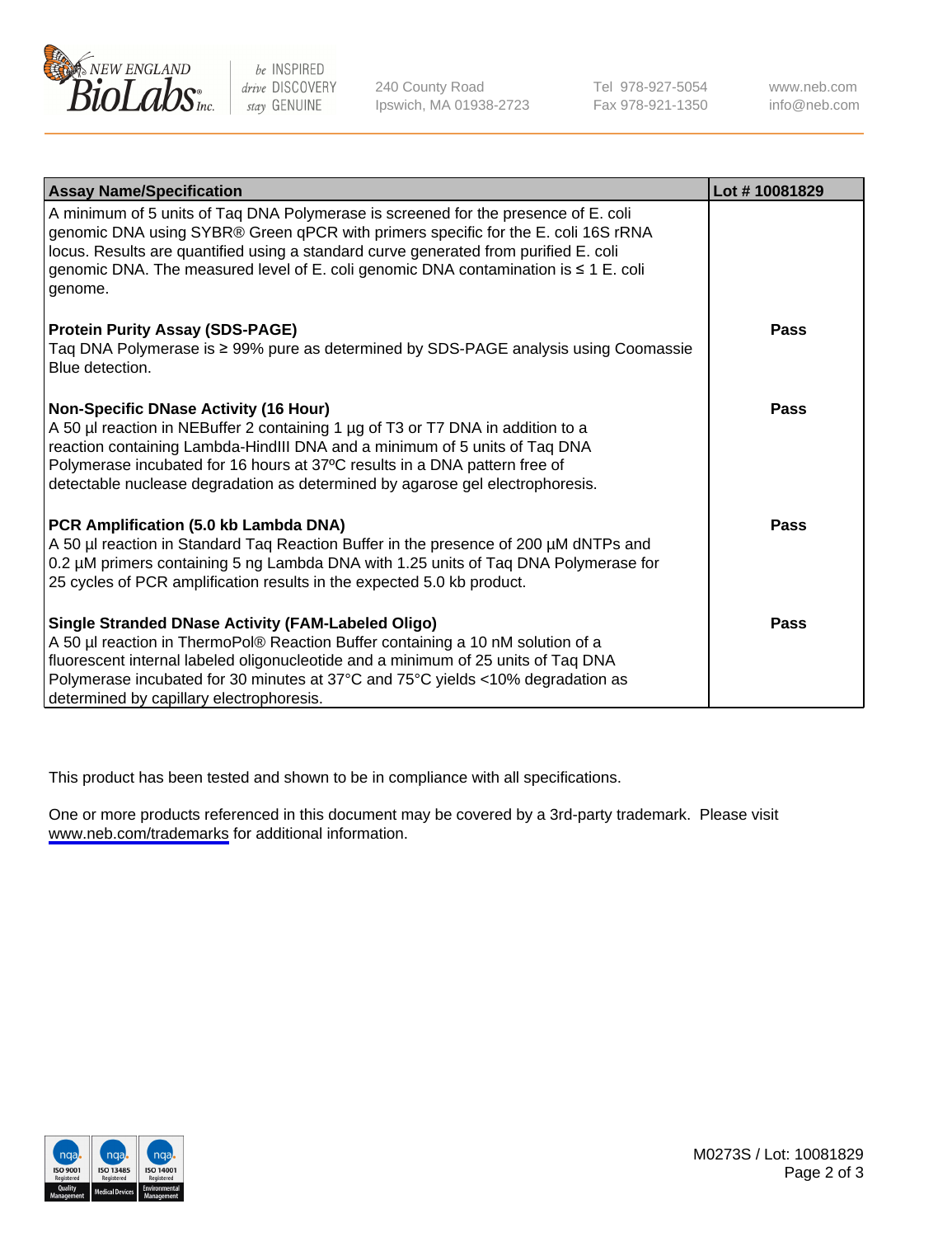

be INSPIRED drive DISCOVERY stay GENUINE

240 County Road Ipswich, MA 01938-2723 Tel 978-927-5054 Fax 978-921-1350

www.neb.com info@neb.com

| <b>Assay Name/Specification</b>                                                                                                                                                                                                                                                                                                                                              | Lot #10081829 |
|------------------------------------------------------------------------------------------------------------------------------------------------------------------------------------------------------------------------------------------------------------------------------------------------------------------------------------------------------------------------------|---------------|
| A minimum of 5 units of Taq DNA Polymerase is screened for the presence of E. coli<br>genomic DNA using SYBR® Green qPCR with primers specific for the E. coli 16S rRNA<br>locus. Results are quantified using a standard curve generated from purified E. coli<br>genomic DNA. The measured level of E. coli genomic DNA contamination is ≤ 1 E. coli<br>genome.            |               |
| <b>Protein Purity Assay (SDS-PAGE)</b><br>Taq DNA Polymerase is ≥ 99% pure as determined by SDS-PAGE analysis using Coomassie<br>Blue detection.                                                                                                                                                                                                                             | <b>Pass</b>   |
| <b>Non-Specific DNase Activity (16 Hour)</b><br>A 50 µl reaction in NEBuffer 2 containing 1 µg of T3 or T7 DNA in addition to a<br>reaction containing Lambda-HindIII DNA and a minimum of 5 units of Taq DNA<br>Polymerase incubated for 16 hours at 37°C results in a DNA pattern free of<br>detectable nuclease degradation as determined by agarose gel electrophoresis. | <b>Pass</b>   |
| <b>PCR Amplification (5.0 kb Lambda DNA)</b><br>A 50 µl reaction in Standard Taq Reaction Buffer in the presence of 200 µM dNTPs and<br>0.2 µM primers containing 5 ng Lambda DNA with 1.25 units of Taq DNA Polymerase for<br>25 cycles of PCR amplification results in the expected 5.0 kb product.                                                                        | <b>Pass</b>   |
| Single Stranded DNase Activity (FAM-Labeled Oligo)<br>A 50 µl reaction in ThermoPol® Reaction Buffer containing a 10 nM solution of a<br>fluorescent internal labeled oligonucleotide and a minimum of 25 units of Taq DNA<br>Polymerase incubated for 30 minutes at 37°C and 75°C yields <10% degradation as<br>determined by capillary electrophoresis.                    | <b>Pass</b>   |

This product has been tested and shown to be in compliance with all specifications.

One or more products referenced in this document may be covered by a 3rd-party trademark. Please visit <www.neb.com/trademarks>for additional information.